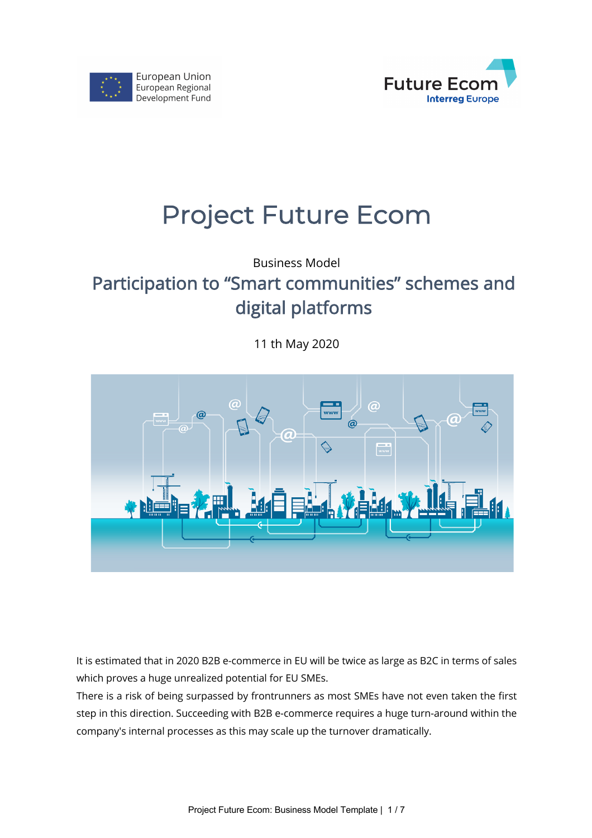



# Project Future Ecom

Business Model

## Participation to "Smart communities" schemes and digital platforms

11 th May 2020



It is estimated that in 2020 B2B e-commerce in EU will be twice as large as B2C in terms of sales which proves a huge unrealized potential for EU SMEs.

There is a risk of being surpassed by frontrunners as most SMEs have not even taken the first step in this direction. Succeeding with B2B e-commerce requires a huge turn-around within the company's internal processes as this may scale up the turnover dramatically.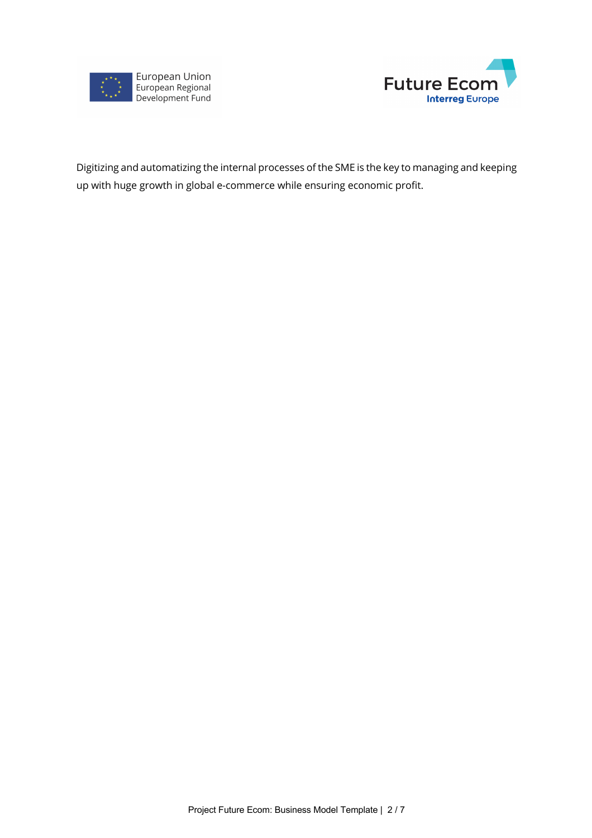



Digitizing and automatizing the internal processes of the SME is the key to managing and keeping up with huge growth in global e-commerce while ensuring economic profit.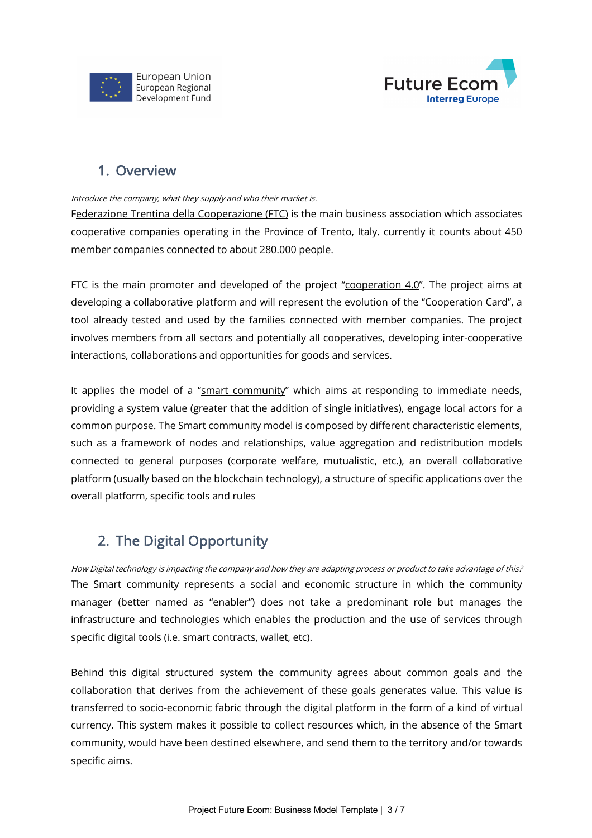



#### 1. Overview

#### Introduce the company, what they supply and who their market is.

Federazione Trentina della Cooperazione (FTC) is the main business association which associates cooperative companies operating in the Province of Trento, Italy. currently it counts about 450 member companies connected to about 280.000 people.

FTC is the main promoter and developed of the project " $\frac{\text{cooperation } 4.0"}{\text{C}}$ . The project aims at developing a collaborative platform and will represent the evolution of the "Cooperation Card", a tool already tested and used by the families connected with member companies. The project involves members from all sectors and potentially all cooperatives, developing inter-cooperative interactions, collaborations and opportunities for goods and services.

It applies the model of a "smart community" which aims at responding to immediate needs, providing a system value (greater that the addition of single initiatives), engage local actors for a common purpose. The Smart community model is composed by different characteristic elements, such as a framework of nodes and relationships, value aggregation and redistribution models connected to general purposes (corporate welfare, mutualistic, etc.), an overall collaborative platform (usually based on the blockchain technology), a structure of specific applications over the overall platform, specific tools and rules

## 2. The Digital Opportunity

How Digital technology is impacting the company and how they are adapting process or product to take advantage of this? The Smart community represents a social and economic structure in which the community manager (better named as "enabler") does not take a predominant role but manages the infrastructure and technologies which enables the production and the use of services through specific digital tools (i.e. smart contracts, wallet, etc).

Behind this digital structured system the community agrees about common goals and the collaboration that derives from the achievement of these goals generates value. This value is transferred to socio-economic fabric through the digital platform in the form of a kind of virtual currency. This system makes it possible to collect resources which, in the absence of the Smart community, would have been destined elsewhere, and send them to the territory and/or towards specific aims.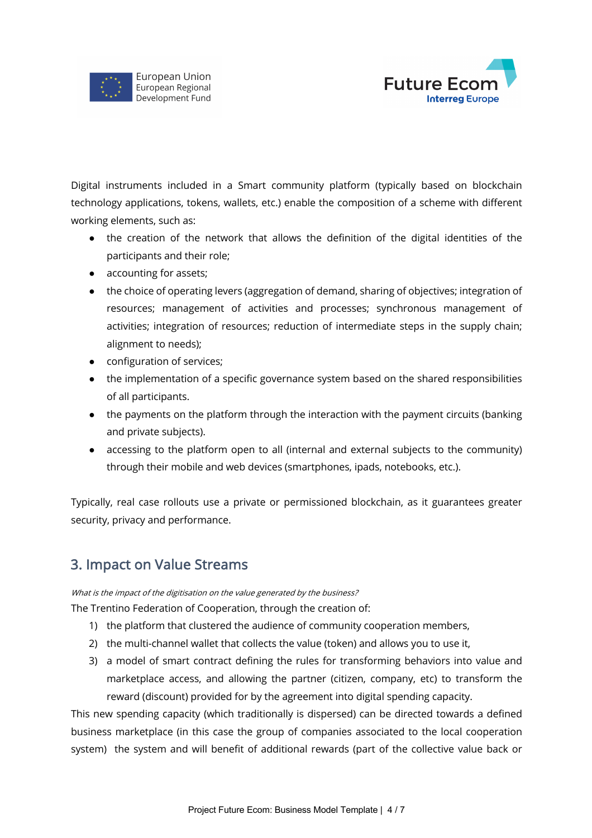



Digital instruments included in a Smart community platform (typically based on blockchain technology applications, tokens, wallets, etc.) enable the composition of a scheme with different working elements, such as:

- the creation of the network that allows the definition of the digital identities of the participants and their role;
- accounting for assets;
- the choice of operating levers (aggregation of demand, sharing of objectives; integration of resources; management of activities and processes; synchronous management of activities; integration of resources; reduction of intermediate steps in the supply chain; alignment to needs);
- configuration of services;
- the implementation of a specific governance system based on the shared responsibilities of all participants.
- the payments on the platform through the interaction with the payment circuits (banking and private subjects).
- accessing to the platform open to all (internal and external subjects to the community) through their mobile and web devices (smartphones, ipads, notebooks, etc.).

Typically, real case rollouts use a private or permissioned blockchain, as it guarantees greater security, privacy and performance.

## 3. Impact on Value Streams

What is the impact of the digitisation on the value generated by the business?

The Trentino Federation of Cooperation, through the creation of:

- 1) the platform that clustered the audience of community cooperation members,
- 2) the multi-channel wallet that collects the value (token) and allows you to use it,
- 3) a model of smart contract defining the rules for transforming behaviors into value and marketplace access, and allowing the partner (citizen, company, etc) to transform the reward (discount) provided for by the agreement into digital spending capacity.

This new spending capacity (which traditionally is dispersed) can be directed towards a defined business marketplace (in this case the group of companies associated to the local cooperation system) the system and will benefit of additional rewards (part of the collective value back or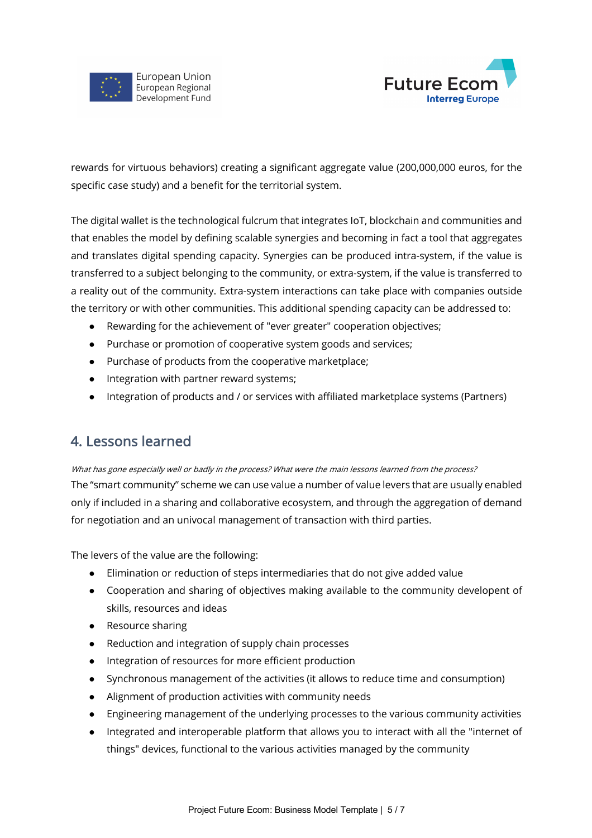



rewards for virtuous behaviors) creating a significant aggregate value (200,000,000 euros, for the specific case study) and a benefit for the territorial system.

The digital wallet is the technological fulcrum that integrates IoT, blockchain and communities and that enables the model by defining scalable synergies and becoming in fact a tool that aggregates and translates digital spending capacity. Synergies can be produced intra-system, if the value is transferred to a subject belonging to the community, or extra-system, if the value is transferred to a reality out of the community. Extra-system interactions can take place with companies outside the territory or with other communities. This additional spending capacity can be addressed to:

- Rewarding for the achievement of "ever greater" cooperation objectives;
- Purchase or promotion of cooperative system goods and services;
- Purchase of products from the cooperative marketplace;
- Integration with partner reward systems;
- Integration of products and / or services with affiliated marketplace systems (Partners)

#### 4. Lessons learned

What has gone especially well or badly in the process? What were the main lessons learned from the process? The "smart community" scheme we can use value a number of value levers that are usually enabled only if included in a sharing and collaborative ecosystem, and through the aggregation of demand for negotiation and an univocal management of transaction with third parties.

The levers of the value are the following:

- Elimination or reduction of steps intermediaries that do not give added value
- Cooperation and sharing of objectives making available to the community developent of skills, resources and ideas
- Resource sharing
- Reduction and integration of supply chain processes
- Integration of resources for more efficient production
- Synchronous management of the activities (it allows to reduce time and consumption)
- Alignment of production activities with community needs
- Engineering management of the underlying processes to the various community activities
- Integrated and interoperable platform that allows you to interact with all the "internet of things" devices, functional to the various activities managed by the community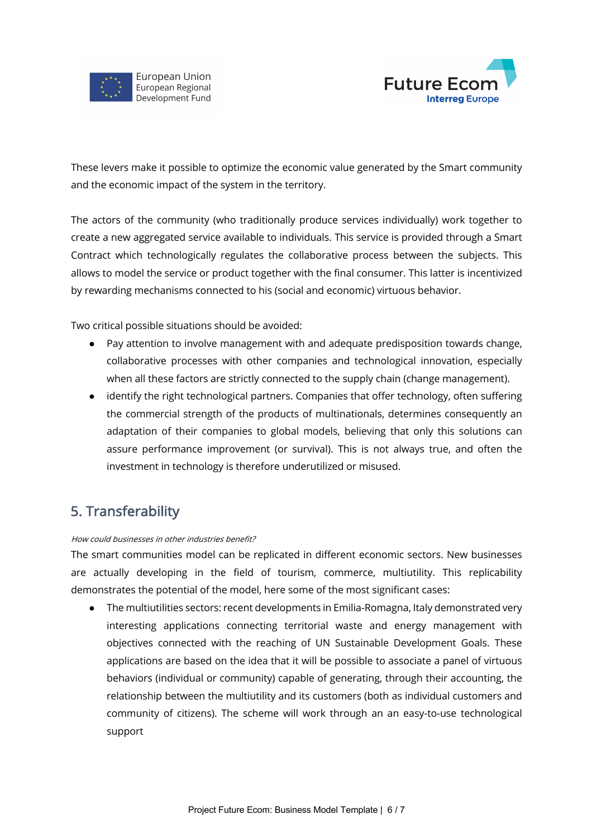



These levers make it possible to optimize the economic value generated by the Smart community and the economic impact of the system in the territory.

The actors of the community (who traditionally produce services individually) work together to create a new aggregated service available to individuals. This service is provided through a Smart Contract which technologically regulates the collaborative process between the subjects. This allows to model the service or product together with the final consumer. This latter is incentivized by rewarding mechanisms connected to his (social and economic) virtuous behavior.

Two critical possible situations should be avoided:

- Pay attention to involve management with and adequate predisposition towards change, collaborative processes with other companies and technological innovation, especially when all these factors are strictly connected to the supply chain (change management).
- identify the right technological partners. Companies that offer technology, often suffering the commercial strength of the products of multinationals, determines consequently an adaptation of their companies to global models, believing that only this solutions can assure performance improvement (or survival). This is not always true, and often the investment in technology is therefore underutilized or misused.

#### 5. Transferability

#### How could businesses in other industries benefit?

The smart communities model can be replicated in different economic sectors. New businesses are actually developing in the field of tourism, commerce, multiutility. This replicability demonstrates the potential of the model, here some of the most significant cases:

● The multiutilities sectors: recent developments in Emilia-Romagna, Italy demonstrated very interesting applications connecting territorial waste and energy management with objectives connected with the reaching of UN Sustainable Development Goals. These applications are based on the idea that it will be possible to associate a panel of virtuous behaviors (individual or community) capable of generating, through their accounting, the relationship between the multiutility and its customers (both as individual customers and community of citizens). The scheme will work through an an easy-to-use technological support